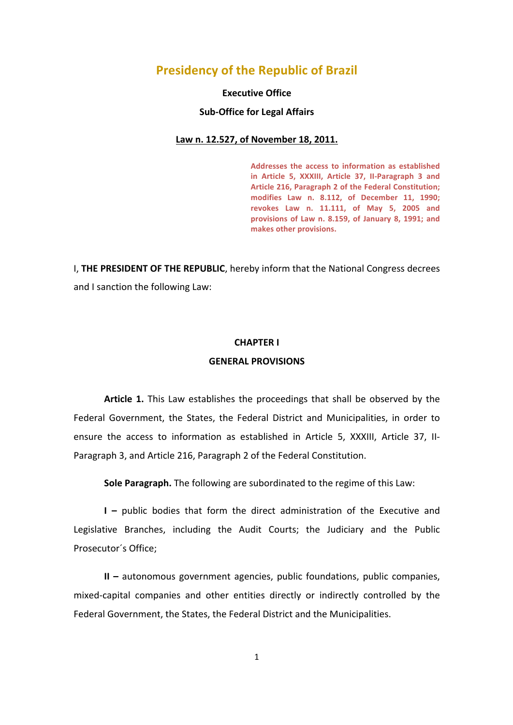# **Presidency of the Republic of Brazil**

### **Executive Office**

#### **Sub-Office for Legal Affairs**

#### Law n. 12.527, of November 18, 2011.

Addresses the access to information as established in Article 5, XXXIII, Article 37, II-Paragraph 3 and Article 216, Paragraph 2 of the Federal Constitution; modifies Law n. 8.112, of December 11, 1990; **revokes Law n. 11.111, of May 5, 2005 and**  provisions of Law n. 8.159, of January 8, 1991; and **makes other provisions.**

I, THE PRESIDENT OF THE REPUBLIC, hereby inform that the National Congress decrees and I sanction the following Law:

## **CHAPTER I**

#### **GENERAL PROVISIONS**

**Article 1.** This Law establishes the proceedings that shall be observed by the Federal Government, the States, the Federal District and Municipalities, in order to ensure the access to information as established in Article 5, XXXIII, Article 37, II-Paragraph 3, and Article 216, Paragraph 2 of the Federal Constitution.

**Sole Paragraph.** The following are subordinated to the regime of this Law:

**I** – public bodies that form the direct administration of the Executive and Legislative Branches, including the Audit Courts; the Judiciary and the Public Prosecutor's Office;

**II** – autonomous government agencies, public foundations, public companies, mixed-capital companies and other entities directly or indirectly controlled by the Federal Government, the States, the Federal District and the Municipalities.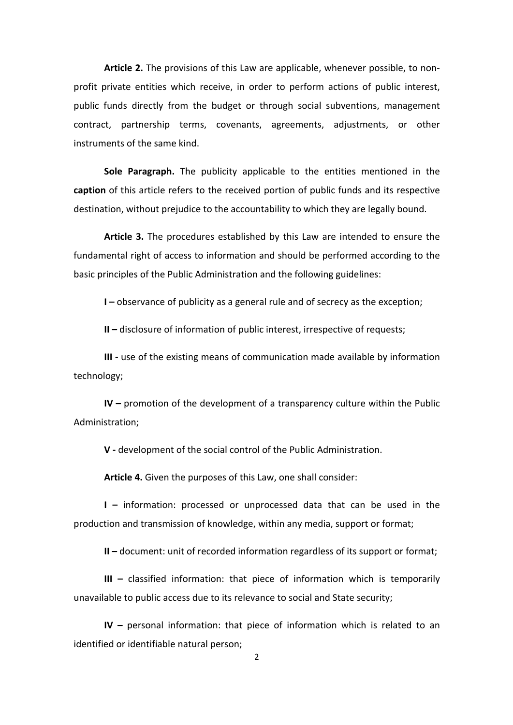**Article 2.** The provisions of this Law are applicable, whenever possible, to nonprofit private entities which receive, in order to perform actions of public interest, public funds directly from the budget or through social subventions, management contract, partnership terms, covenants, agreements, adjustments, or other instruments of the same kind.

**Sole Paragraph.** The publicity applicable to the entities mentioned in the **caption** of this article refers to the received portion of public funds and its respective destination, without prejudice to the accountability to which they are legally bound.

**Article 3.** The procedures established by this Law are intended to ensure the fundamental right of access to information and should be performed according to the basic principles of the Public Administration and the following guidelines:

**I** – observance of publicity as a general rule and of secrecy as the exception;

**II** – disclosure of information of public interest, irrespective of requests;

**III** - use of the existing means of communication made available by information technology;

**IV** – promotion of the development of a transparency culture within the Public Administration;

**V** - development of the social control of the Public Administration.

**Article 4.** Given the purposes of this Law, one shall consider:

**I** – information: processed or unprocessed data that can be used in the production and transmission of knowledge, within any media, support or format;

**II** – document: unit of recorded information regardless of its support or format;

**III** – classified information: that piece of information which is temporarily unavailable to public access due to its relevance to social and State security;

**IV** – personal information: that piece of information which is related to an identified or identifiable natural person;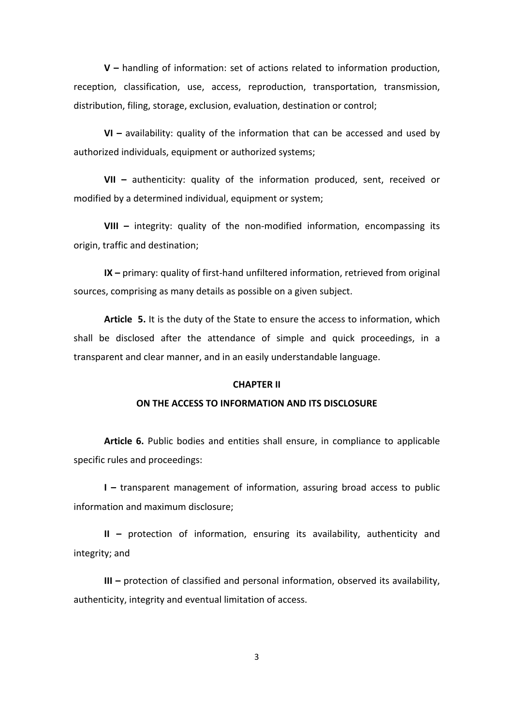**V** – handling of information: set of actions related to information production, reception, classification, use, access, reproduction, transportation, transmission, distribution, filing, storage, exclusion, evaluation, destination or control;

**VI** – availability: quality of the information that can be accessed and used by authorized individuals, equipment or authorized systems;

**VII** - authenticity: quality of the information produced, sent, received or modified by a determined individual, equipment or system;

**VIII** – integrity: quality of the non-modified information, encompassing its origin, traffic and destination;

**IX** – primary: quality of first-hand unfiltered information, retrieved from original sources, comprising as many details as possible on a given subject.

**Article** 5. It is the duty of the State to ensure the access to information, which shall be disclosed after the attendance of simple and quick proceedings, in a transparent and clear manner, and in an easily understandable language.

#### **CHAPTER II**

#### **ON THE ACCESS TO INFORMATION AND ITS DISCLOSURE**

**Article 6.** Public bodies and entities shall ensure, in compliance to applicable specific rules and proceedings:

**I** – transparent management of information, assuring broad access to public information and maximum disclosure;

**II** – protection of information, ensuring its availability, authenticity and integrity; and

**III** – protection of classified and personal information, observed its availability, authenticity, integrity and eventual limitation of access.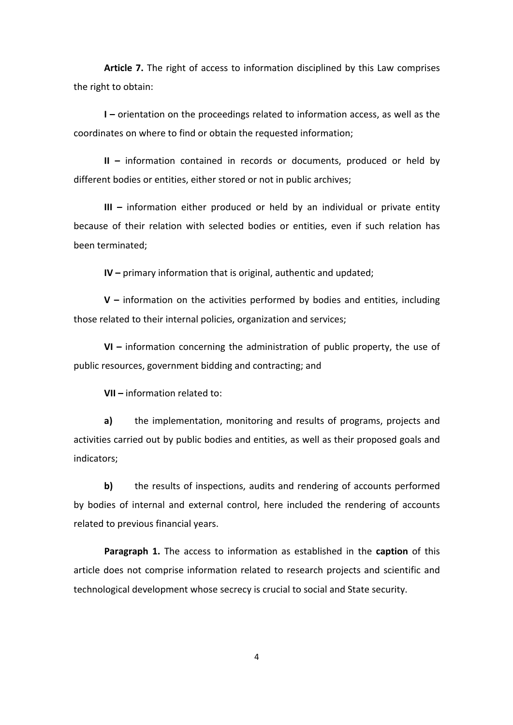**Article 7.** The right of access to information disciplined by this Law comprises the right to obtain:

**I** – orientation on the proceedings related to information access, as well as the coordinates on where to find or obtain the requested information;

**II** – information contained in records or documents, produced or held by different bodies or entities, either stored or not in public archives;

**III** – information either produced or held by an individual or private entity because of their relation with selected bodies or entities, even if such relation has been terminated;

**IV** – primary information that is original, authentic and updated;

**V** – information on the activities performed by bodies and entities, including those related to their internal policies, organization and services;

**VI** – information concerning the administration of public property, the use of public resources, government bidding and contracting; and

**VII** – information related to:

**a)** the implementation, monitoring and results of programs, projects and activities carried out by public bodies and entities, as well as their proposed goals and indicators;

**b)** the results of inspections, audits and rendering of accounts performed by bodies of internal and external control, here included the rendering of accounts related to previous financial vears.

**Paragraph 1.** The access to information as established in the **caption** of this article does not comprise information related to research projects and scientific and technological development whose secrecy is crucial to social and State security.

4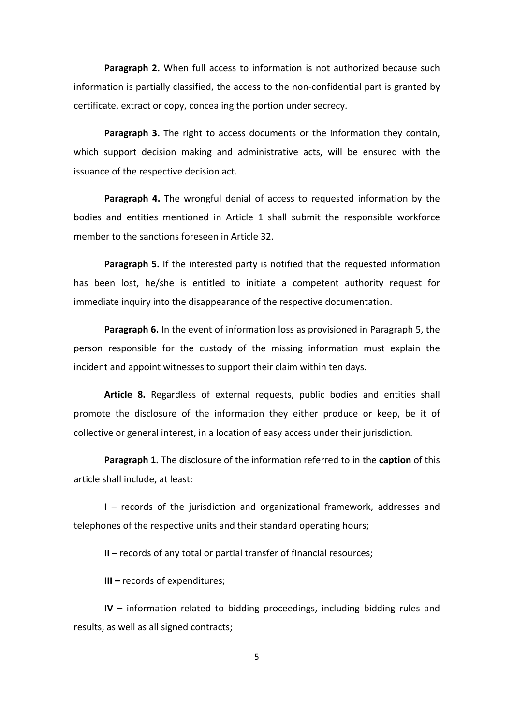**Paragraph 2.** When full access to information is not authorized because such information is partially classified, the access to the non-confidential part is granted by certificate, extract or copy, concealing the portion under secrecy.

**Paragraph 3.** The right to access documents or the information they contain, which support decision making and administrative acts, will be ensured with the issuance of the respective decision act.

**Paragraph 4.** The wrongful denial of access to requested information by the bodies and entities mentioned in Article 1 shall submit the responsible workforce member to the sanctions foreseen in Article 32.

**Paragraph 5.** If the interested party is notified that the requested information has been lost, he/she is entitled to initiate a competent authority request for immediate inquiry into the disappearance of the respective documentation.

**Paragraph 6.** In the event of information loss as provisioned in Paragraph 5, the person responsible for the custody of the missing information must explain the incident and appoint witnesses to support their claim within ten days.

Article 8. Regardless of external requests, public bodies and entities shall promote the disclosure of the information they either produce or keep, be it of collective or general interest, in a location of easy access under their jurisdiction.

**Paragraph 1.** The disclosure of the information referred to in the caption of this article shall include, at least:

**I** – records of the jurisdiction and organizational framework, addresses and telephones of the respective units and their standard operating hours;

**II** – records of any total or partial transfer of financial resources;

**III** – records of expenditures;

**IV** – information related to bidding proceedings, including bidding rules and results, as well as all signed contracts;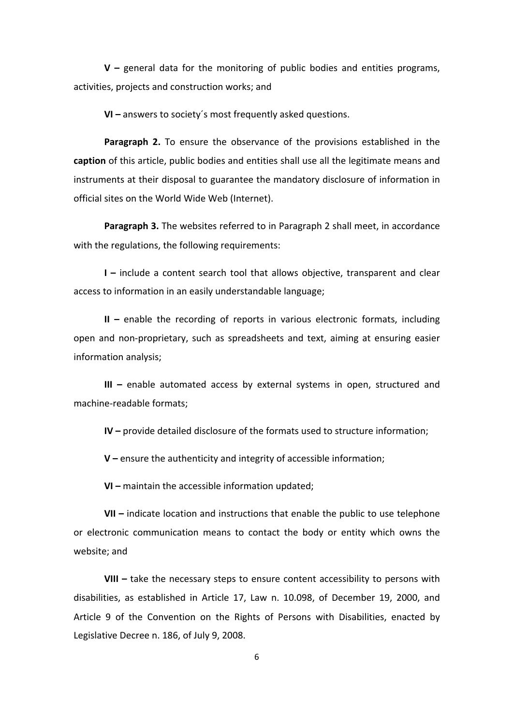**V** – general data for the monitoring of public bodies and entities programs, activities, projects and construction works; and

**VI** – answers to society's most frequently asked questions.

**Paragraph 2.** To ensure the observance of the provisions established in the **caption** of this article, public bodies and entities shall use all the legitimate means and instruments at their disposal to guarantee the mandatory disclosure of information in official sites on the World Wide Web (Internet).

**Paragraph 3.** The websites referred to in Paragraph 2 shall meet, in accordance with the regulations, the following requirements:

**I** – include a content search tool that allows objective, transparent and clear access to information in an easily understandable language;

**II** – enable the recording of reports in various electronic formats, including open and non-proprietary, such as spreadsheets and text, aiming at ensuring easier information analysis;

**III** - enable automated access by external systems in open, structured and machine-readable formats:

**IV** – provide detailed disclosure of the formats used to structure information;

**V** – ensure the authenticity and integrity of accessible information;

**VI** – maintain the accessible information updated;

**VII** – indicate location and instructions that enable the public to use telephone or electronic communication means to contact the body or entity which owns the website; and

**VIII** - take the necessary steps to ensure content accessibility to persons with disabilities, as established in Article 17, Law n. 10.098, of December 19, 2000, and Article 9 of the Convention on the Rights of Persons with Disabilities, enacted by Legislative Decree n. 186, of July 9, 2008.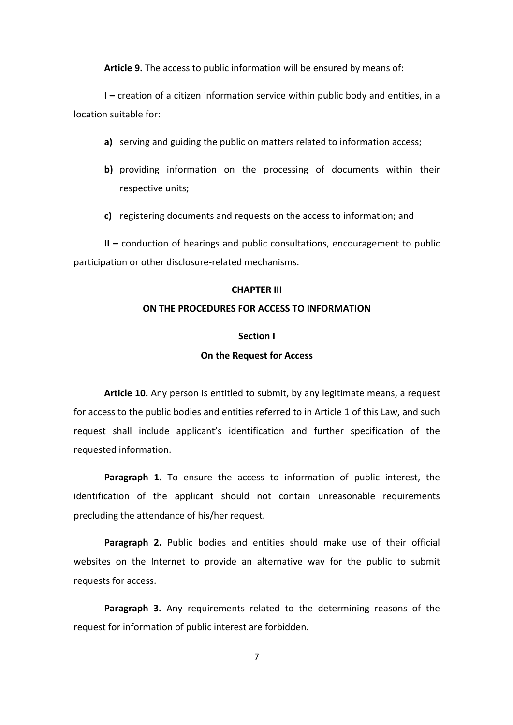**Article 9.** The access to public information will be ensured by means of:

**I** – creation of a citizen information service within public body and entities, in a  $location$  suitable  $for$ 

- **a)** serving and guiding the public on matters related to information access;
- **b)** providing information on the processing of documents within their respective units;
- **c)** registering documents and requests on the access to information; and

**II** – conduction of hearings and public consultations, encouragement to public participation or other disclosure-related mechanisms.

#### **CHAPTER III**

## **ON THE PROCEDURES FOR ACCESS TO INFORMATION**

## **Section I**

## **On the Request for Access**

**Article 10.** Any person is entitled to submit, by any legitimate means, a request for access to the public bodies and entities referred to in Article 1 of this Law, and such request shall include applicant's identification and further specification of the requested information.

**Paragraph 1.** To ensure the access to information of public interest, the identification of the applicant should not contain unreasonable requirements precluding the attendance of his/her request.

**Paragraph 2.** Public bodies and entities should make use of their official websites on the Internet to provide an alternative way for the public to submit requests for access.

**Paragraph 3.** Any requirements related to the determining reasons of the request for information of public interest are forbidden.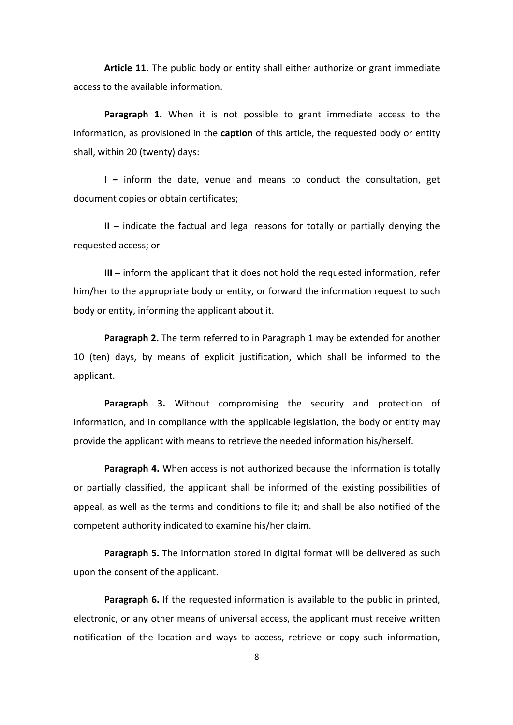**Article 11.** The public body or entity shall either authorize or grant immediate access to the available information.

**Paragraph 1.** When it is not possible to grant immediate access to the information, as provisioned in the **caption** of this article, the requested body or entity shall, within 20 (twenty) days:

**I** – inform the date, venue and means to conduct the consultation, get document copies or obtain certificates;

**II** – indicate the factual and legal reasons for totally or partially denying the requested access; or

**III** – inform the applicant that it does not hold the requested information, refer him/her to the appropriate body or entity, or forward the information request to such body or entity, informing the applicant about it.

**Paragraph 2.** The term referred to in Paragraph 1 may be extended for another 10 (ten) days, by means of explicit justification, which shall be informed to the applicant. 

**Paragraph 3.** Without compromising the security and protection of information, and in compliance with the applicable legislation, the body or entity may provide the applicant with means to retrieve the needed information his/herself.

**Paragraph 4.** When access is not authorized because the information is totally or partially classified, the applicant shall be informed of the existing possibilities of appeal, as well as the terms and conditions to file it; and shall be also notified of the competent authority indicated to examine his/her claim.

**Paragraph 5.** The information stored in digital format will be delivered as such upon the consent of the applicant.

**Paragraph 6.** If the requested information is available to the public in printed, electronic, or any other means of universal access, the applicant must receive written notification of the location and ways to access, retrieve or copy such information,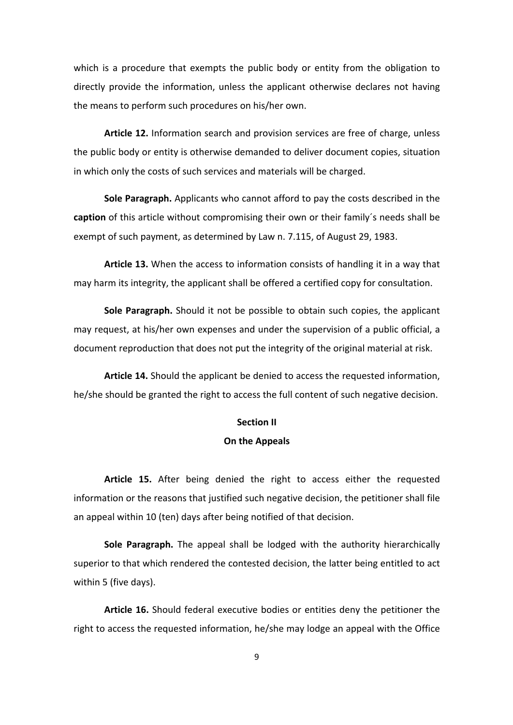which is a procedure that exempts the public body or entity from the obligation to directly provide the information, unless the applicant otherwise declares not having the means to perform such procedures on his/her own.

**Article 12.** Information search and provision services are free of charge, unless the public body or entity is otherwise demanded to deliver document copies, situation in which only the costs of such services and materials will be charged.

**Sole Paragraph.** Applicants who cannot afford to pay the costs described in the **caption** of this article without compromising their own or their family's needs shall be exempt of such payment, as determined by Law n. 7.115, of August 29, 1983.

**Article 13.** When the access to information consists of handling it in a way that may harm its integrity, the applicant shall be offered a certified copy for consultation.

**Sole Paragraph.** Should it not be possible to obtain such copies, the applicant may request, at his/her own expenses and under the supervision of a public official, a document reproduction that does not put the integrity of the original material at risk.

**Article 14.** Should the applicant be denied to access the requested information, he/she should be granted the right to access the full content of such negative decision.

## **Section II**

### **On the Appeals**

**Article 15.** After being denied the right to access either the requested information or the reasons that justified such negative decision, the petitioner shall file an appeal within 10 (ten) days after being notified of that decision.

**Sole Paragraph.** The appeal shall be lodged with the authority hierarchically superior to that which rendered the contested decision, the latter being entitled to act within 5 (five days).

**Article 16.** Should federal executive bodies or entities deny the petitioner the right to access the requested information, he/she may lodge an appeal with the Office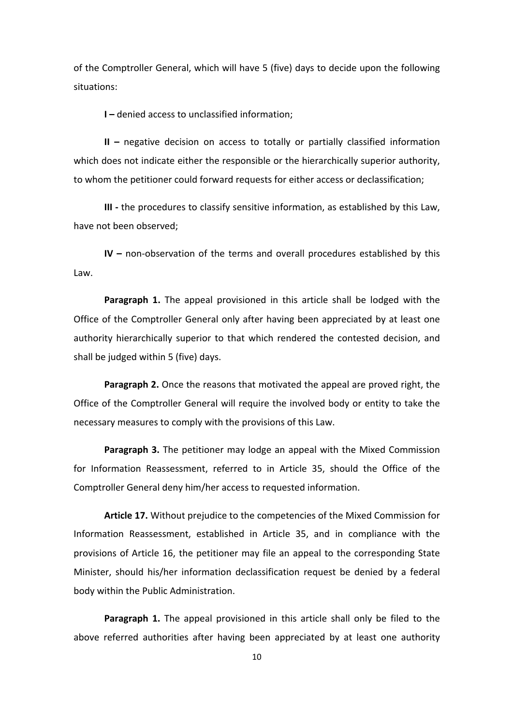of the Comptroller General, which will have 5 (five) days to decide upon the following situations:

**I** – denied access to unclassified information:

**II** – negative decision on access to totally or partially classified information which does not indicate either the responsible or the hierarchically superior authority, to whom the petitioner could forward requests for either access or declassification;

**III** - the procedures to classify sensitive information, as established by this Law, have not been observed:

**IV** – non-observation of the terms and overall procedures established by this Law.

**Paragraph 1.** The appeal provisioned in this article shall be lodged with the Office of the Comptroller General only after having been appreciated by at least one authority hierarchically superior to that which rendered the contested decision, and shall be judged within 5 (five) days.

**Paragraph 2.** Once the reasons that motivated the appeal are proved right, the Office of the Comptroller General will require the involved body or entity to take the necessary measures to comply with the provisions of this Law.

**Paragraph 3.** The petitioner may lodge an appeal with the Mixed Commission for Information Reassessment, referred to in Article 35, should the Office of the Comptroller General deny him/her access to requested information.

**Article 17.** Without prejudice to the competencies of the Mixed Commission for Information Reassessment, established in Article 35, and in compliance with the provisions of Article 16, the petitioner may file an appeal to the corresponding State Minister, should his/her information declassification request be denied by a federal body within the Public Administration.

**Paragraph 1.** The appeal provisioned in this article shall only be filed to the above referred authorities after having been appreciated by at least one authority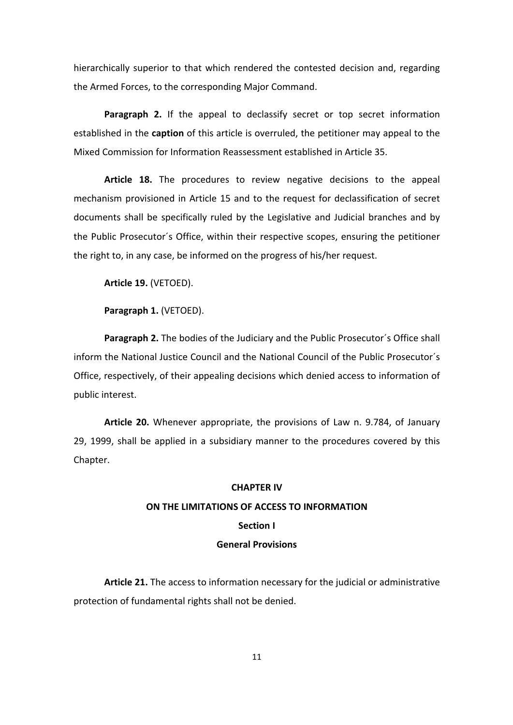hierarchically superior to that which rendered the contested decision and, regarding the Armed Forces, to the corresponding Major Command.

**Paragraph 2.** If the appeal to declassify secret or top secret information established in the **caption** of this article is overruled, the petitioner may appeal to the Mixed Commission for Information Reassessment established in Article 35.

Article 18. The procedures to review negative decisions to the appeal mechanism provisioned in Article 15 and to the request for declassification of secret documents shall be specifically ruled by the Legislative and Judicial branches and by the Public Prosecutor's Office, within their respective scopes, ensuring the petitioner the right to, in any case, be informed on the progress of his/her request.

**Article 19.** (VETOED).

Paragraph 1. (VETOED).

**Paragraph 2.** The bodies of the Judiciary and the Public Prosecutor's Office shall inform the National Justice Council and the National Council of the Public Prosecutor's Office, respectively, of their appealing decisions which denied access to information of public interest.

**Article 20.** Whenever appropriate, the provisions of Law n. 9.784, of January 29, 1999, shall be applied in a subsidiary manner to the procedures covered by this Chapter.

#### **CHAPTER IV**

## **ON THE LIMITATIONS OF ACCESS TO INFORMATION**

### **Section I**

### **General Provisions**

**Article 21.** The access to information necessary for the judicial or administrative protection of fundamental rights shall not be denied.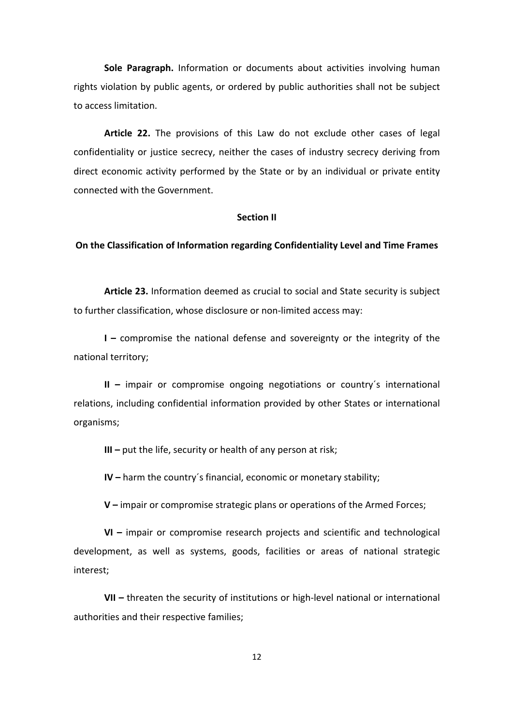**Sole Paragraph.** Information or documents about activities involving human rights violation by public agents, or ordered by public authorities shall not be subject to access limitation.

Article 22. The provisions of this Law do not exclude other cases of legal confidentiality or justice secrecy, neither the cases of industry secrecy deriving from direct economic activity performed by the State or by an individual or private entity connected with the Government.

## **Section II**

#### **On the Classification of Information regarding Confidentiality Level and Time Frames**

**Article 23.** Information deemed as crucial to social and State security is subject to further classification, whose disclosure or non-limited access may:

**I** – compromise the national defense and sovereignty or the integrity of the national territory;

**II** - impair or compromise ongoing negotiations or country's international relations, including confidential information provided by other States or international organisms;

**III** – put the life, security or health of any person at risk;

**IV** – harm the country's financial, economic or monetary stability;

**V** – impair or compromise strategic plans or operations of the Armed Forces;

**VI** – impair or compromise research projects and scientific and technological development, as well as systems, goods, facilities or areas of national strategic interest;

**VII** – threaten the security of institutions or high-level national or international authorities and their respective families;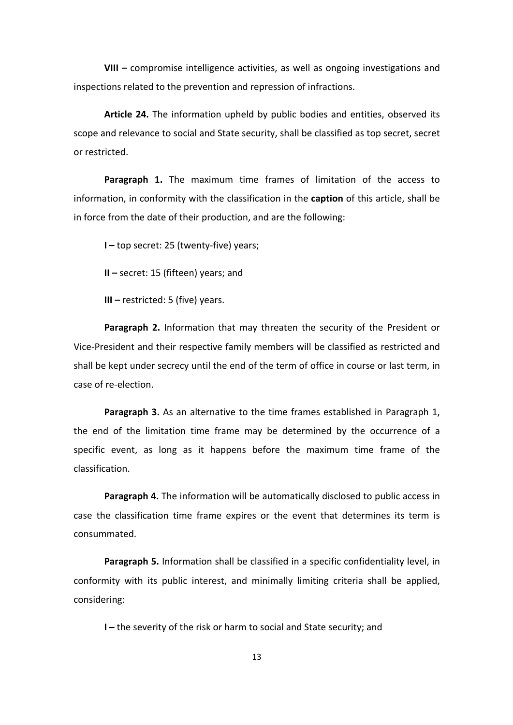**VIII** – compromise intelligence activities, as well as ongoing investigations and inspections related to the prevention and repression of infractions.

Article 24. The information upheld by public bodies and entities, observed its scope and relevance to social and State security, shall be classified as top secret, secret or restricted.

**Paragraph 1.** The maximum time frames of limitation of the access to information, in conformity with the classification in the **caption** of this article, shall be in force from the date of their production, and are the following:

**I** – top secret: 25 (twenty-five) years;

**II** – secret: 15 (fifteen) years; and

**III** – restricted: 5 (five) years.

Paragraph 2. Information that may threaten the security of the President or Vice-President and their respective family members will be classified as restricted and shall be kept under secrecy until the end of the term of office in course or last term, in case of re-election.

**Paragraph 3.** As an alternative to the time frames established in Paragraph 1, the end of the limitation time frame may be determined by the occurrence of a specific event, as long as it happens before the maximum time frame of the classification.

**Paragraph 4.** The information will be automatically disclosed to public access in case the classification time frame expires or the event that determines its term is consummated.

**Paragraph 5.** Information shall be classified in a specific confidentiality level, in conformity with its public interest, and minimally limiting criteria shall be applied, considering:

**I** – the severity of the risk or harm to social and State security; and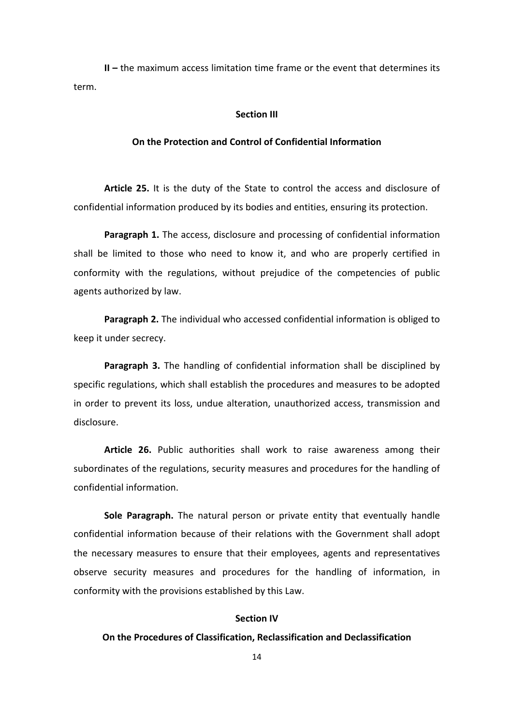**II** – the maximum access limitation time frame or the event that determines its term.

#### **Section III**

### **On the Protection and Control of Confidential Information**

**Article 25.** It is the duty of the State to control the access and disclosure of confidential information produced by its bodies and entities, ensuring its protection.

**Paragraph 1.** The access, disclosure and processing of confidential information shall be limited to those who need to know it, and who are properly certified in conformity with the regulations, without prejudice of the competencies of public agents authorized by law.

**Paragraph 2.** The individual who accessed confidential information is obliged to keep it under secrecy.

**Paragraph 3.** The handling of confidential information shall be disciplined by specific regulations, which shall establish the procedures and measures to be adopted in order to prevent its loss, undue alteration, unauthorized access, transmission and disclosure.

**Article 26.** Public authorities shall work to raise awareness among their subordinates of the regulations, security measures and procedures for the handling of confidential information.

**Sole Paragraph.** The natural person or private entity that eventually handle confidential information because of their relations with the Government shall adopt the necessary measures to ensure that their employees, agents and representatives observe security measures and procedures for the handling of information, in conformity with the provisions established by this Law.

## **Section IV**

#### **On the Procedures of Classification, Reclassification and Declassification**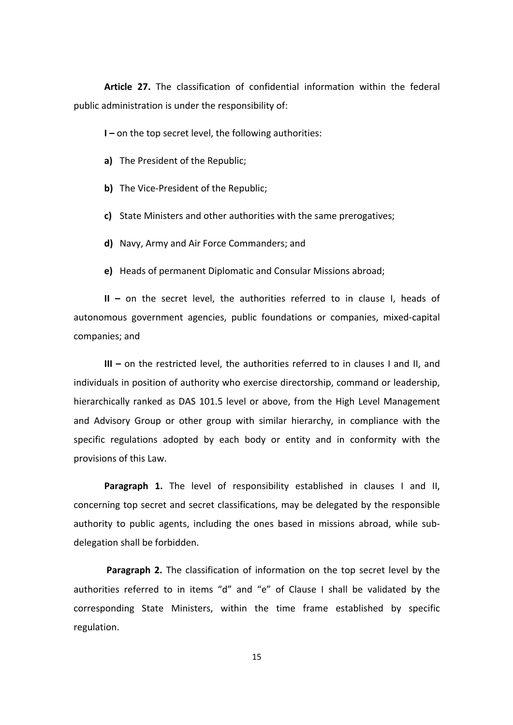**Article 27.** The classification of confidential information within the federal public administration is under the responsibility of:

**I** – on the top secret level, the following authorities:

- **a)** The President of the Republic;
- **b)** The Vice-President of the Republic;
- **c)** State Ministers and other authorities with the same prerogatives;
- **d)** Navy, Army and Air Force Commanders; and
- **e)** Heads of permanent Diplomatic and Consular Missions abroad;

**II** – on the secret level, the authorities referred to in clause I, heads of autonomous government agencies, public foundations or companies, mixed-capital companies; and

**III** – on the restricted level, the authorities referred to in clauses I and II, and individuals in position of authority who exercise directorship, command or leadership, hierarchically ranked as DAS 101.5 level or above, from the High Level Management and Advisory Group or other group with similar hierarchy, in compliance with the specific regulations adopted by each body or entity and in conformity with the provisions of this Law.

**Paragraph 1.** The level of responsibility established in clauses I and II, concerning top secret and secret classifications, may be delegated by the responsible authority to public agents, including the ones based in missions abroad, while subdelegation shall be forbidden.

**Paragraph 2.** The classification of information on the top secret level by the authorities referred to in items "d" and "e" of Clause I shall be validated by the corresponding State Ministers, within the time frame established by specific regulation.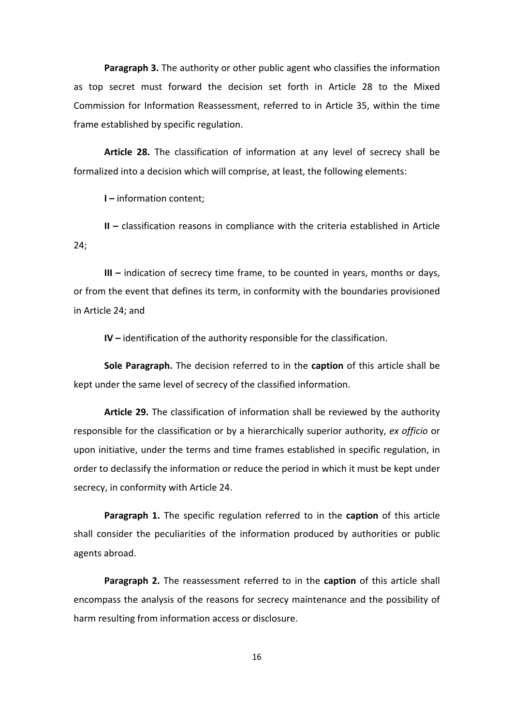**Paragraph 3.** The authority or other public agent who classifies the information as top secret must forward the decision set forth in Article 28 to the Mixed Commission for Information Reassessment, referred to in Article 35, within the time frame established by specific regulation.

Article 28. The classification of information at any level of secrecy shall be formalized into a decision which will comprise, at least, the following elements:

**I** – information content;

**II** – classification reasons in compliance with the criteria established in Article 24;

**III** – indication of secrecy time frame, to be counted in years, months or days, or from the event that defines its term, in conformity with the boundaries provisioned in Article 24; and

**IV** – identification of the authority responsible for the classification.

**Sole Paragraph.** The decision referred to in the **caption** of this article shall be kept under the same level of secrecy of the classified information.

Article 29. The classification of information shall be reviewed by the authority responsible for the classification or by a hierarchically superior authority, ex officio or upon initiative, under the terms and time frames established in specific regulation, in order to declassify the information or reduce the period in which it must be kept under secrecy, in conformity with Article 24.

**Paragraph 1.** The specific regulation referred to in the caption of this article shall consider the peculiarities of the information produced by authorities or public agents abroad.

**Paragraph 2.** The reassessment referred to in the caption of this article shall encompass the analysis of the reasons for secrecy maintenance and the possibility of harm resulting from information access or disclosure.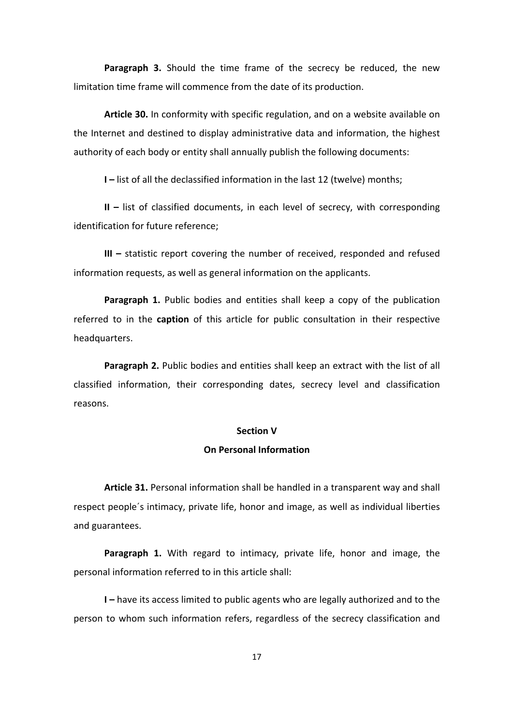**Paragraph 3.** Should the time frame of the secrecy be reduced, the new limitation time frame will commence from the date of its production.

**Article 30.** In conformity with specific regulation, and on a website available on the Internet and destined to display administrative data and information, the highest authority of each body or entity shall annually publish the following documents:

**I** – list of all the declassified information in the last 12 (twelve) months;

**II** – list of classified documents, in each level of secrecy, with corresponding identification for future reference:

**III** – statistic report covering the number of received, responded and refused information requests, as well as general information on the applicants.

**Paragraph 1.** Public bodies and entities shall keep a copy of the publication referred to in the **caption** of this article for public consultation in their respective headquarters.

**Paragraph 2.** Public bodies and entities shall keep an extract with the list of all classified information, their corresponding dates, secrecy level and classification reasons.

#### **Section V**

#### **On Personal Information**

**Article 31.** Personal information shall be handled in a transparent way and shall respect people's intimacy, private life, honor and image, as well as individual liberties and guarantees.

**Paragraph 1.** With regard to intimacy, private life, honor and image, the personal information referred to in this article shall:

**I** – have its access limited to public agents who are legally authorized and to the person to whom such information refers, regardless of the secrecy classification and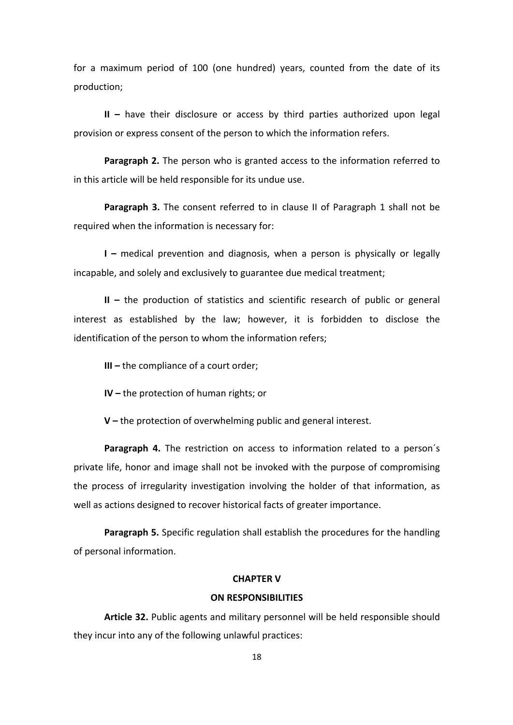for a maximum period of 100 (one hundred) years, counted from the date of its production;

**II** – have their disclosure or access by third parties authorized upon legal provision or express consent of the person to which the information refers.

**Paragraph 2.** The person who is granted access to the information referred to in this article will be held responsible for its undue use.

**Paragraph 3.** The consent referred to in clause II of Paragraph 1 shall not be required when the information is necessary for:

**I** – medical prevention and diagnosis, when a person is physically or legally incapable, and solely and exclusively to guarantee due medical treatment;

**II** – the production of statistics and scientific research of public or general interest as established by the law; however, it is forbidden to disclose the identification of the person to whom the information refers;

**III** – the compliance of a court order;

**IV** – the protection of human rights; or

**V** – the protection of overwhelming public and general interest.

**Paragraph 4.** The restriction on access to information related to a person's private life, honor and image shall not be invoked with the purpose of compromising the process of irregularity investigation involving the holder of that information, as well as actions designed to recover historical facts of greater importance.

**Paragraph 5.** Specific regulation shall establish the procedures for the handling of personal information.

## **CHAPTER V**

## **ON RESPONSIBILITIES**

Article 32. Public agents and military personnel will be held responsible should they incur into any of the following unlawful practices: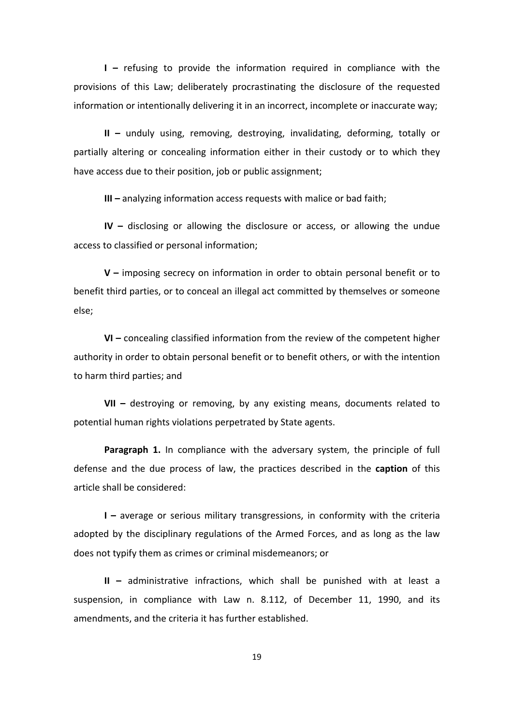**I** – refusing to provide the information required in compliance with the provisions of this Law; deliberately procrastinating the disclosure of the requested information or intentionally delivering it in an incorrect, incomplete or inaccurate way;

**II** – unduly using, removing, destroying, invalidating, deforming, totally or partially altering or concealing information either in their custody or to which they have access due to their position, job or public assignment;

**III** – analyzing information access requests with malice or bad faith;

**IV** – disclosing or allowing the disclosure or access, or allowing the undue access to classified or personal information;

**V** – imposing secrecy on information in order to obtain personal benefit or to benefit third parties, or to conceal an illegal act committed by themselves or someone else;

**VI** – concealing classified information from the review of the competent higher authority in order to obtain personal benefit or to benefit others, or with the intention to harm third parties; and

**VII** – destroying or removing, by any existing means, documents related to potential human rights violations perpetrated by State agents.

Paragraph 1. In compliance with the adversary system, the principle of full defense and the due process of law, the practices described in the **caption** of this article shall be considered:

**I** – average or serious military transgressions, in conformity with the criteria adopted by the disciplinary regulations of the Armed Forces, and as long as the law does not typify them as crimes or criminal misdemeanors; or

**II** – administrative infractions, which shall be punished with at least a suspension, in compliance with Law n. 8.112, of December 11, 1990, and its amendments, and the criteria it has further established.

19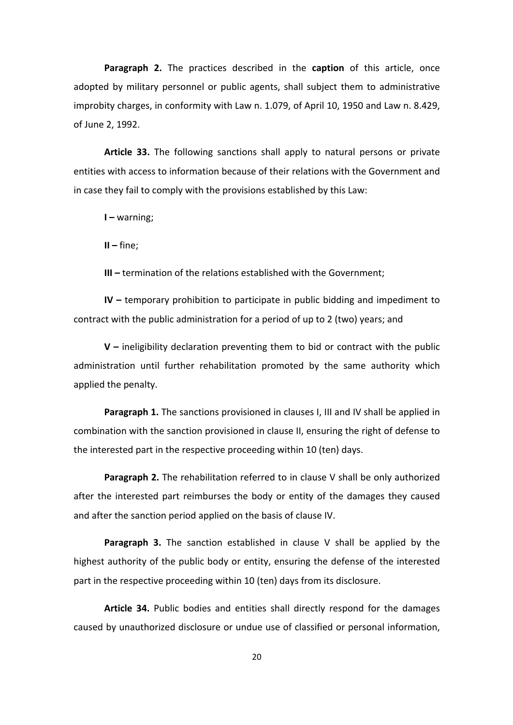**Paragraph 2.** The practices described in the **caption** of this article, once adopted by military personnel or public agents, shall subject them to administrative improbity charges, in conformity with Law n. 1.079, of April 10, 1950 and Law n. 8.429, of June 2, 1992.

Article 33. The following sanctions shall apply to natural persons or private entities with access to information because of their relations with the Government and in case they fail to comply with the provisions established by this Law:

**I** – warning;

**II –** fine;

**III** – termination of the relations established with the Government;

**IV** – temporary prohibition to participate in public bidding and impediment to contract with the public administration for a period of up to 2 (two) years; and

**V** – ineligibility declaration preventing them to bid or contract with the public administration until further rehabilitation promoted by the same authority which applied the penalty.

**Paragraph 1.** The sanctions provisioned in clauses I, III and IV shall be applied in combination with the sanction provisioned in clause II, ensuring the right of defense to the interested part in the respective proceeding within 10 (ten) days.

**Paragraph 2.** The rehabilitation referred to in clause V shall be only authorized after the interested part reimburses the body or entity of the damages they caused and after the sanction period applied on the basis of clause IV.

**Paragraph 3.** The sanction established in clause V shall be applied by the highest authority of the public body or entity, ensuring the defense of the interested part in the respective proceeding within 10 (ten) days from its disclosure.

**Article 34.** Public bodies and entities shall directly respond for the damages caused by unauthorized disclosure or undue use of classified or personal information,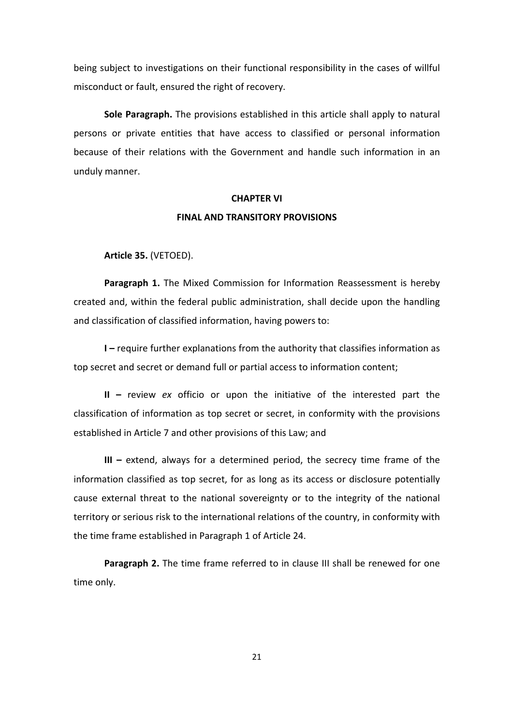being subject to investigations on their functional responsibility in the cases of willful misconduct or fault, ensured the right of recovery.

**Sole Paragraph.** The provisions established in this article shall apply to natural persons or private entities that have access to classified or personal information because of their relations with the Government and handle such information in an unduly manner.

#### **CHAPTER VI**

#### **FINAL AND TRANSITORY PROVISIONS**

**Article 35.** (VETOED).

**Paragraph 1.** The Mixed Commission for Information Reassessment is hereby created and, within the federal public administration, shall decide upon the handling and classification of classified information, having powers to:

**I** – require further explanations from the authority that classifies information as top secret and secret or demand full or partial access to information content;

**II** – review *ex* officio or upon the initiative of the interested part the classification of information as top secret or secret, in conformity with the provisions established in Article 7 and other provisions of this Law; and

**III** – extend, always for a determined period, the secrecy time frame of the information classified as top secret, for as long as its access or disclosure potentially cause external threat to the national sovereignty or to the integrity of the national territory or serious risk to the international relations of the country, in conformity with the time frame established in Paragraph 1 of Article 24.

**Paragraph 2.** The time frame referred to in clause III shall be renewed for one time only.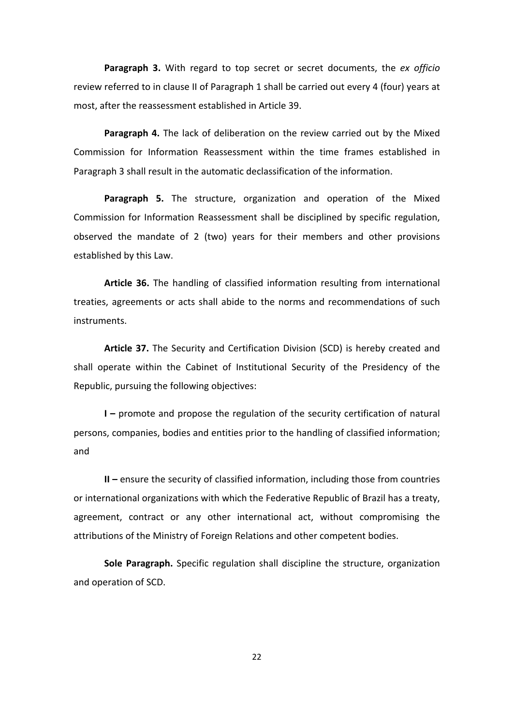**Paragraph 3.** With regard to top secret or secret documents, the ex officio review referred to in clause II of Paragraph 1 shall be carried out every 4 (four) years at most, after the reassessment established in Article 39.

**Paragraph 4.** The lack of deliberation on the review carried out by the Mixed Commission for Information Reassessment within the time frames established in Paragraph 3 shall result in the automatic declassification of the information.

**Paragraph 5.** The structure, organization and operation of the Mixed Commission for Information Reassessment shall be disciplined by specific regulation, observed the mandate of 2 (two) years for their members and other provisions established by this Law.

**Article 36.** The handling of classified information resulting from international treaties, agreements or acts shall abide to the norms and recommendations of such instruments.

Article 37. The Security and Certification Division (SCD) is hereby created and shall operate within the Cabinet of Institutional Security of the Presidency of the Republic, pursuing the following objectives:

**I** – promote and propose the regulation of the security certification of natural persons, companies, bodies and entities prior to the handling of classified information; and

**II** – ensure the security of classified information, including those from countries or international organizations with which the Federative Republic of Brazil has a treaty, agreement, contract or any other international act, without compromising the attributions of the Ministry of Foreign Relations and other competent bodies.

**Sole Paragraph.** Specific regulation shall discipline the structure, organization and operation of SCD.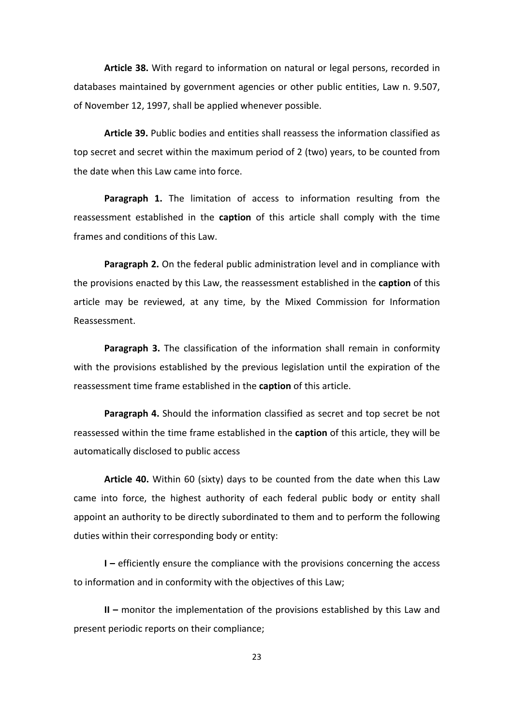**Article 38.** With regard to information on natural or legal persons, recorded in databases maintained by government agencies or other public entities, Law n. 9.507, of November 12, 1997, shall be applied whenever possible.

**Article 39.** Public bodies and entities shall reassess the information classified as top secret and secret within the maximum period of 2 (two) years, to be counted from the date when this Law came into force.

**Paragraph 1.** The limitation of access to information resulting from the reassessment established in the **caption** of this article shall comply with the time frames and conditions of this Law.

**Paragraph 2.** On the federal public administration level and in compliance with the provisions enacted by this Law, the reassessment established in the **caption** of this article may be reviewed, at any time, by the Mixed Commission for Information Reassessment.

**Paragraph 3.** The classification of the information shall remain in conformity with the provisions established by the previous legislation until the expiration of the reassessment time frame established in the **caption** of this article.

**Paragraph 4.** Should the information classified as secret and top secret be not reassessed within the time frame established in the **caption** of this article, they will be automatically disclosed to public access

**Article 40.** Within 60 (sixty) days to be counted from the date when this Law came into force, the highest authority of each federal public body or entity shall appoint an authority to be directly subordinated to them and to perform the following duties within their corresponding body or entity:

**I** – efficiently ensure the compliance with the provisions concerning the access to information and in conformity with the objectives of this Law;

**II** – monitor the implementation of the provisions established by this Law and present periodic reports on their compliance;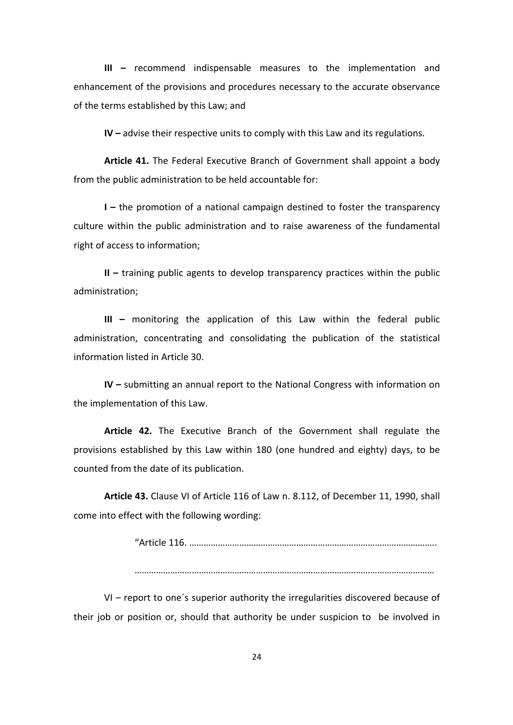**III** – recommend indispensable measures to the implementation and enhancement of the provisions and procedures necessary to the accurate observance of the terms established by this Law; and

**IV** – advise their respective units to comply with this Law and its regulations.

Article 41. The Federal Executive Branch of Government shall appoint a body from the public administration to be held accountable for:

**I** – the promotion of a national campaign destined to foster the transparency culture within the public administration and to raise awareness of the fundamental right of access to information;

**II** – training public agents to develop transparency practices within the public administration; 

**III** – monitoring the application of this Law within the federal public administration, concentrating and consolidating the publication of the statistical information listed in Article 30.

**IV** – submitting an annual report to the National Congress with information on the implementation of this Law.

Article 42. The Executive Branch of the Government shall regulate the provisions established by this Law within 180 (one hundred and eighty) days, to be counted from the date of its publication.

**Article 43.** Clause VI of Article 116 of Law n. 8.112, of December 11, 1990, shall come into effect with the following wording:

> "Article 116. ………………………………………………………………………………………….. ………………………………………………………………………………………………………………

 $VI$  – report to one's superior authority the irregularities discovered because of their job or position or, should that authority be under suspicion to be involved in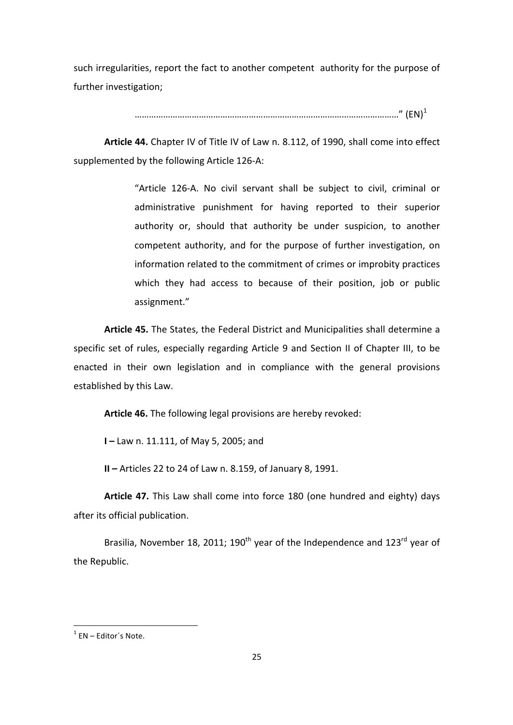such irregularities, report the fact to another competent authority for the purpose of further investigation;

…………………………………………………………………………………………………" (EN)<sup>1</sup>

Article 44. Chapter IV of Title IV of Law n. 8.112, of 1990, shall come into effect supplemented by the following Article 126-A:

> "Article 126-A. No civil servant shall be subject to civil, criminal or administrative punishment for having reported to their superior authority or, should that authority be under suspicion, to another competent authority, and for the purpose of further investigation, on information related to the commitment of crimes or improbity practices which they had access to because of their position, job or public assignment."

Article 45. The States, the Federal District and Municipalities shall determine a specific set of rules, especially regarding Article 9 and Section II of Chapter III, to be enacted in their own legislation and in compliance with the general provisions established by this Law.

Article 46. The following legal provisions are hereby revoked:

**I** – Law n. 11.111, of May 5, 2005; and

**II** – Articles 22 to 24 of Law n. 8.159, of January 8, 1991.

Article 47. This Law shall come into force 180 (one hundred and eighty) days after its official publication.

Brasilia, November 18, 2011; 190<sup>th</sup> year of the Independence and 123<sup>rd</sup> year of the Republic.

 

 $1$  EN – Editor's Note.